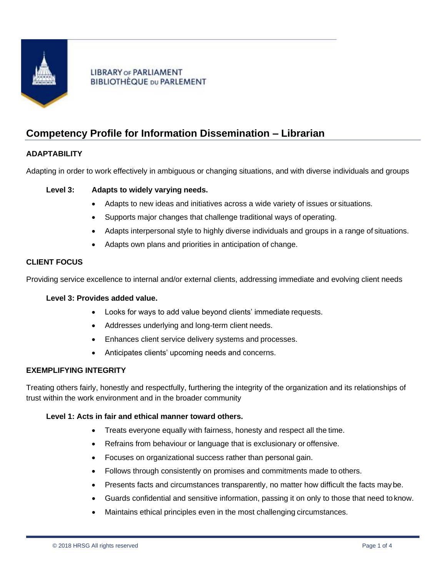

# **LIBRARY OF PARLIAMENT BIBLIOTHÈQUE DU PARLEMENT**

# **Competency Profile for Information Dissemination – Librarian**

# **ADAPTABILITY**

Adapting in order to work effectively in ambiguous or changing situations, and with diverse individuals and groups

# **Level 3: Adapts to widely varying needs.**

- Adapts to new ideas and initiatives across a wide variety of issues or situations.
- Supports major changes that challenge traditional ways of operating.
- Adapts interpersonal style to highly diverse individuals and groups in a range of situations.
- Adapts own plans and priorities in anticipation of change.

## **CLIENT FOCUS**

Providing service excellence to internal and/or external clients, addressing immediate and evolving client needs

## **Level 3: Provides added value.**

- Looks for ways to add value beyond clients' immediate requests.
- Addresses underlying and long-term client needs.
- Enhances client service delivery systems and processes.
- Anticipates clients' upcoming needs and concerns.

### **EXEMPLIFYING INTEGRITY**

Treating others fairly, honestly and respectfully, furthering the integrity of the organization and its relationships of trust within the work environment and in the broader community

### **Level 1: Acts in fair and ethical manner toward others.**

- Treats everyone equally with fairness, honesty and respect all the time.
- Refrains from behaviour or language that is exclusionary or offensive.
- Focuses on organizational success rather than personal gain.
- Follows through consistently on promises and commitments made to others.
- Presents facts and circumstances transparently, no matter how difficult the facts may be.
- Guards confidential and sensitive information, passing it on only to those that need to know.
- Maintains ethical principles even in the most challenging circumstances.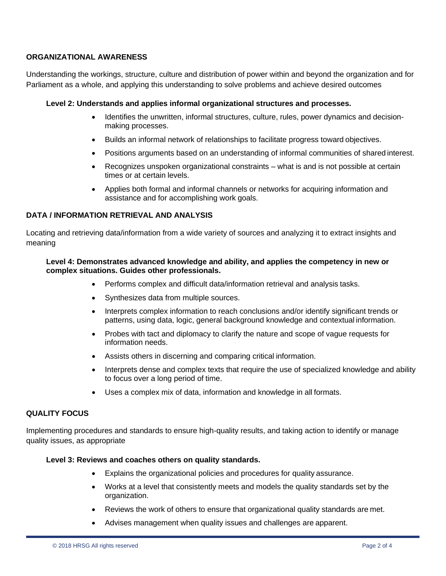# **ORGANIZATIONAL AWARENESS**

Understanding the workings, structure, culture and distribution of power within and beyond the organization and for Parliament as a whole, and applying this understanding to solve problems and achieve desired outcomes

# **Level 2: Understands and applies informal organizational structures and processes.**

- Identifies the unwritten, informal structures, culture, rules, power dynamics and decisionmaking processes.
- Builds an informal network of relationships to facilitate progress toward objectives.
- Positions arguments based on an understanding of informal communities of shared interest.
- Recognizes unspoken organizational constraints what is and is not possible at certain times or at certain levels.
- Applies both formal and informal channels or networks for acquiring information and assistance and for accomplishing work goals.

# **DATA / INFORMATION RETRIEVAL AND ANALYSIS**

Locating and retrieving data/information from a wide variety of sources and analyzing it to extract insights and meaning

## **Level 4: Demonstrates advanced knowledge and ability, and applies the competency in new or complex situations. Guides other professionals.**

- Performs complex and difficult data/information retrieval and analysis tasks.
- Synthesizes data from multiple sources.
- Interprets complex information to reach conclusions and/or identify significant trends or patterns, using data, logic, general background knowledge and contextual information.
- Probes with tact and diplomacy to clarify the nature and scope of vague requests for information needs.
- Assists others in discerning and comparing critical information.
- Interprets dense and complex texts that require the use of specialized knowledge and ability to focus over a long period of time.
- Uses a complex mix of data, information and knowledge in all formats.

# **QUALITY FOCUS**

Implementing procedures and standards to ensure high-quality results, and taking action to identify or manage quality issues, as appropriate

# **Level 3: Reviews and coaches others on quality standards.**

- Explains the organizational policies and procedures for quality assurance.
- Works at a level that consistently meets and models the quality standards set by the organization.
- Reviews the work of others to ensure that organizational quality standards are met.
- Advises management when quality issues and challenges are apparent.